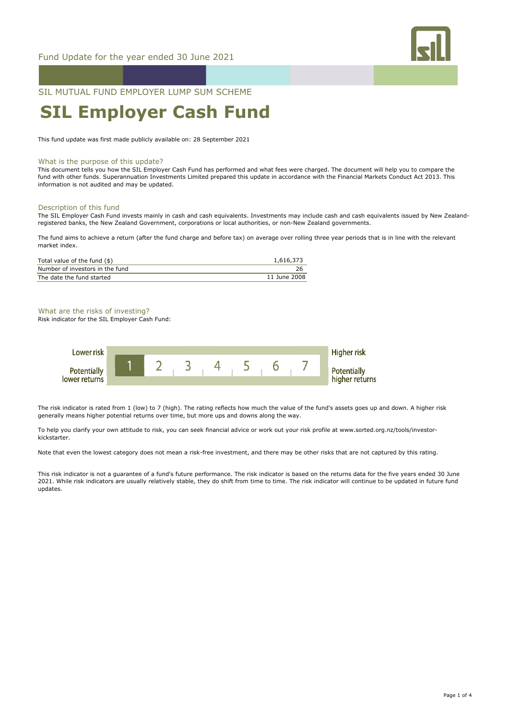

SIL MUTUAL FUND EMPLOYER LUMP SUM SCHEME

# **SIL Employer Cash Fund**

This fund update was first made publicly available on: 28 September 2021

#### What is the purpose of this update?

This document tells you how the SIL Employer Cash Fund has performed and what fees were charged. The document will help you to compare the fund with other funds. Superannuation Investments Limited prepared this update in accordance with the Financial Markets Conduct Act 2013. This information is not audited and may be updated.

## Description of this fund

The SIL Employer Cash Fund invests mainly in cash and cash equivalents. Investments may include cash and cash equivalents issued by New Zealandregistered banks, the New Zealand Government, corporations or local authorities, or non-New Zealand governments.

The fund aims to achieve a return (after the fund charge and before tax) on average over rolling three year periods that is in line with the relevant market index.

| Total value of the fund (\$)    | 1,616,373    |
|---------------------------------|--------------|
| Number of investors in the fund |              |
| The date the fund started       | 11 June 2008 |

#### What are the risks of investing?

Risk indicator for the SIL Employer Cash Fund:



The risk indicator is rated from 1 (low) to 7 (high). The rating reflects how much the value of the fund's assets goes up and down. A higher risk generally means higher potential returns over time, but more ups and downs along the way.

To help you clarify your own attitude to risk, you can seek financial advice or work out your risk profile at www.sorted.org.nz/tools/investorkickstarter.

Note that even the lowest category does not mean a risk-free investment, and there may be other risks that are not captured by this rating.

This risk indicator is not a guarantee of a fund's future performance. The risk indicator is based on the returns data for the five years ended 30 June 2021. While risk indicators are usually relatively stable, they do shift from time to time. The risk indicator will continue to be updated in future fund updates.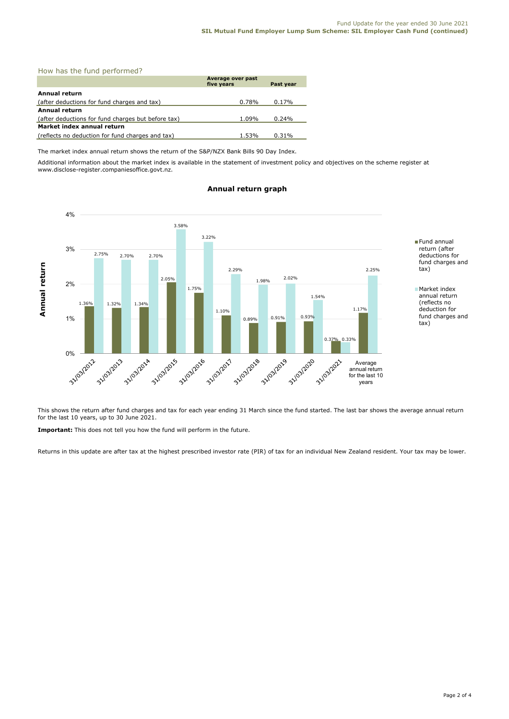| How has the fund performed? |  |
|-----------------------------|--|
|-----------------------------|--|

|                                                    | Average over past<br>five years | Past year |  |  |
|----------------------------------------------------|---------------------------------|-----------|--|--|
| Annual return                                      |                                 |           |  |  |
| (after deductions for fund charges and tax)        | 0.78%                           | 0.17%     |  |  |
| Annual return                                      |                                 |           |  |  |
| (after deductions for fund charges but before tax) | 1.09%                           | 0.24%     |  |  |
| Market index annual return                         |                                 |           |  |  |
| (reflects no deduction for fund charges and tax)   | 1.53%                           | 0.31%     |  |  |

The market index annual return shows the return of the S&P/NZX Bank Bills 90 Day Index.

Additional information about the market index is available in the statement of investment policy and objectives on the scheme register at www.disclose-register.companiesoffice.govt.nz.



# **Annual return graph**

This shows the return after fund charges and tax for each year ending 31 March since the fund started. The last bar shows the average annual return for the last 10 years, up to 30 June 2021.

**Important:** This does not tell you how the fund will perform in the future.

Returns in this update are after tax at the highest prescribed investor rate (PIR) of tax for an individual New Zealand resident. Your tax may be lower.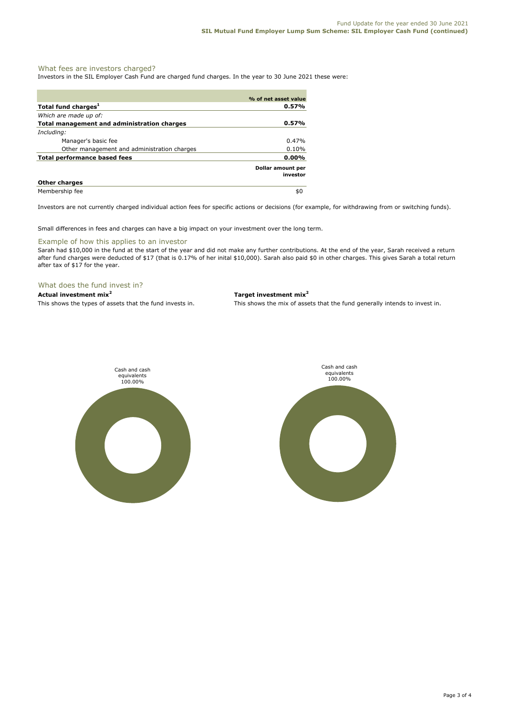# What fees are investors charged?

Investors in the SIL Employer Cash Fund are charged fund charges. In the year to 30 June 2021 these were:

|                                             | % of net asset value          |  |
|---------------------------------------------|-------------------------------|--|
| Total fund charges <sup>1</sup>             | 0.57%                         |  |
| Which are made up of:                       |                               |  |
| Total management and administration charges | 0.57%                         |  |
| Including:                                  |                               |  |
| Manager's basic fee                         | 0.47%                         |  |
| Other management and administration charges | 0.10%                         |  |
| <b>Total performance based fees</b>         | 0.00%                         |  |
|                                             | Dollar amount per<br>investor |  |
| <b>Other charges</b>                        |                               |  |
| Membership fee                              | \$0                           |  |

Investors are not currently charged individual action fees for specific actions or decisions (for example, for withdrawing from or switching funds).

Small differences in fees and charges can have a big impact on your investment over the long term.

## Example of how this applies to an investor

Sarah had \$10,000 in the fund at the start of the year and did not make any further contributions. At the end of the year, Sarah received a return after fund charges were deducted of \$17 (that is 0.17% of her inital \$10,000). Sarah also paid \$0 in other charges. This gives Sarah a total return after tax of \$17 for the year.

# What does the fund invest in?

**Actual investment mix<sup>2</sup> Target investment mix<sup>2</sup>**

This shows the types of assets that the fund invests in. This shows the mix of assets that the fund generally intends to invest in.